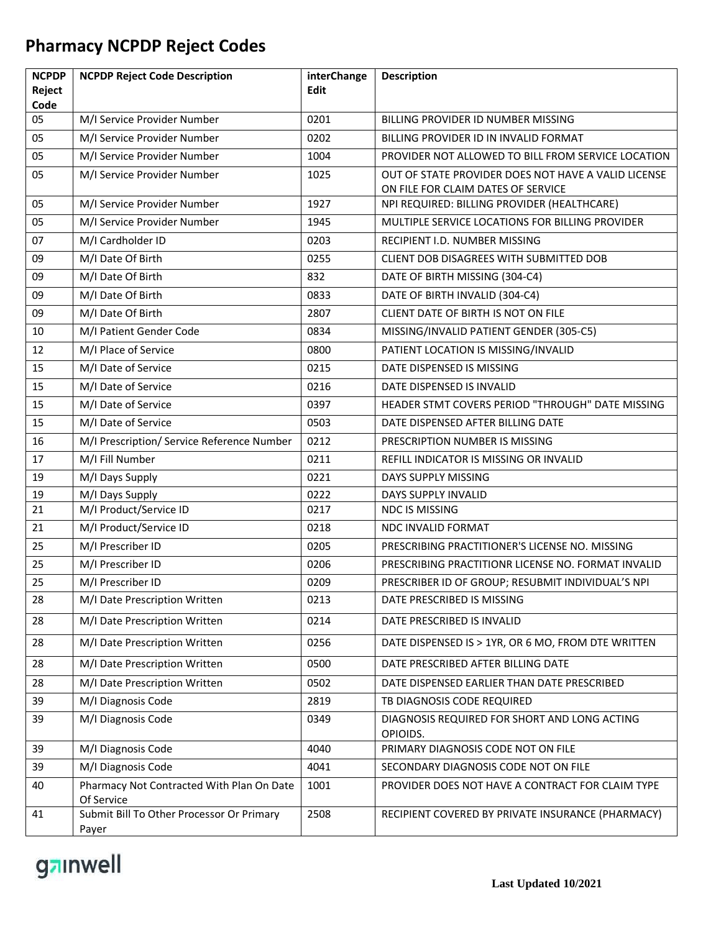| <b>NCPDP</b><br>Reject | <b>NCPDP Reject Code Description</b>       | interChange<br><b>Edit</b> | <b>Description</b>                                       |
|------------------------|--------------------------------------------|----------------------------|----------------------------------------------------------|
| Code                   |                                            |                            |                                                          |
| 05                     | M/I Service Provider Number                | 0201                       | BILLING PROVIDER ID NUMBER MISSING                       |
| 05                     | M/I Service Provider Number                | 0202                       | BILLING PROVIDER ID IN INVALID FORMAT                    |
| 05                     | M/I Service Provider Number                | 1004                       | PROVIDER NOT ALLOWED TO BILL FROM SERVICE LOCATION       |
| 05                     | M/I Service Provider Number                | 1025                       | OUT OF STATE PROVIDER DOES NOT HAVE A VALID LICENSE      |
|                        |                                            |                            | ON FILE FOR CLAIM DATES OF SERVICE                       |
| 05                     | M/I Service Provider Number                | 1927                       | NPI REQUIRED: BILLING PROVIDER (HEALTHCARE)              |
| 05                     | M/I Service Provider Number                | 1945                       | MULTIPLE SERVICE LOCATIONS FOR BILLING PROVIDER          |
| 07                     | M/I Cardholder ID                          | 0203                       | RECIPIENT I.D. NUMBER MISSING                            |
| 09                     | M/I Date Of Birth                          | 0255                       | CLIENT DOB DISAGREES WITH SUBMITTED DOB                  |
| 09                     | M/I Date Of Birth                          | 832                        | DATE OF BIRTH MISSING (304-C4)                           |
| 09                     | M/I Date Of Birth                          | 0833                       | DATE OF BIRTH INVALID (304-C4)                           |
| 09                     | M/I Date Of Birth                          | 2807                       | CLIENT DATE OF BIRTH IS NOT ON FILE                      |
| 10                     | M/I Patient Gender Code                    | 0834                       | MISSING/INVALID PATIENT GENDER (305-C5)                  |
| 12                     | M/I Place of Service                       | 0800                       | PATIENT LOCATION IS MISSING/INVALID                      |
| 15                     | M/I Date of Service                        | 0215                       | DATE DISPENSED IS MISSING                                |
| 15                     | M/I Date of Service                        | 0216                       | DATE DISPENSED IS INVALID                                |
| 15                     | M/I Date of Service                        | 0397                       | HEADER STMT COVERS PERIOD "THROUGH" DATE MISSING         |
| 15                     | M/I Date of Service                        | 0503                       | DATE DISPENSED AFTER BILLING DATE                        |
| 16                     | M/I Prescription/ Service Reference Number | 0212                       | PRESCRIPTION NUMBER IS MISSING                           |
| 17                     | M/I Fill Number                            | 0211                       | REFILL INDICATOR IS MISSING OR INVALID                   |
| 19                     | M/I Days Supply                            | 0221                       | DAYS SUPPLY MISSING                                      |
| 19                     | M/I Days Supply                            | 0222                       | DAYS SUPPLY INVALID                                      |
| 21                     | M/I Product/Service ID                     | 0217                       | <b>NDC IS MISSING</b>                                    |
| 21                     | M/I Product/Service ID                     | 0218                       | NDC INVALID FORMAT                                       |
| 25                     | M/I Prescriber ID                          | 0205                       | PRESCRIBING PRACTITIONER'S LICENSE NO. MISSING           |
| 25                     | M/I Prescriber ID                          | 0206                       | PRESCRIBING PRACTITIONR LICENSE NO. FORMAT INVALID       |
| 25                     | M/I Prescriber ID                          | 0209                       | PRESCRIBER ID OF GROUP; RESUBMIT INDIVIDUAL'S NPI        |
| 28                     | M/I Date Prescription Written              | 0213                       | DATE PRESCRIBED IS MISSING                               |
| 28                     | M/I Date Prescription Written              | 0214                       | DATE PRESCRIBED IS INVALID                               |
| 28                     | M/I Date Prescription Written              | 0256                       | DATE DISPENSED IS > 1YR, OR 6 MO, FROM DTE WRITTEN       |
| 28                     | M/I Date Prescription Written              | 0500                       | DATE PRESCRIBED AFTER BILLING DATE                       |
| 28                     | M/I Date Prescription Written              | 0502                       | DATE DISPENSED EARLIER THAN DATE PRESCRIBED              |
| 39                     | M/I Diagnosis Code                         | 2819                       | TB DIAGNOSIS CODE REQUIRED                               |
| 39                     | M/I Diagnosis Code                         | 0349                       | DIAGNOSIS REQUIRED FOR SHORT AND LONG ACTING<br>OPIOIDS. |
| 39                     | M/I Diagnosis Code                         | 4040                       | PRIMARY DIAGNOSIS CODE NOT ON FILE                       |
| 39                     | M/I Diagnosis Code                         | 4041                       | SECONDARY DIAGNOSIS CODE NOT ON FILE                     |
| 40                     | Pharmacy Not Contracted With Plan On Date  | 1001                       | PROVIDER DOES NOT HAVE A CONTRACT FOR CLAIM TYPE         |
|                        | Of Service                                 |                            |                                                          |
| 41                     | Submit Bill To Other Processor Or Primary  | 2508                       | RECIPIENT COVERED BY PRIVATE INSURANCE (PHARMACY)        |
|                        | Payer                                      |                            |                                                          |

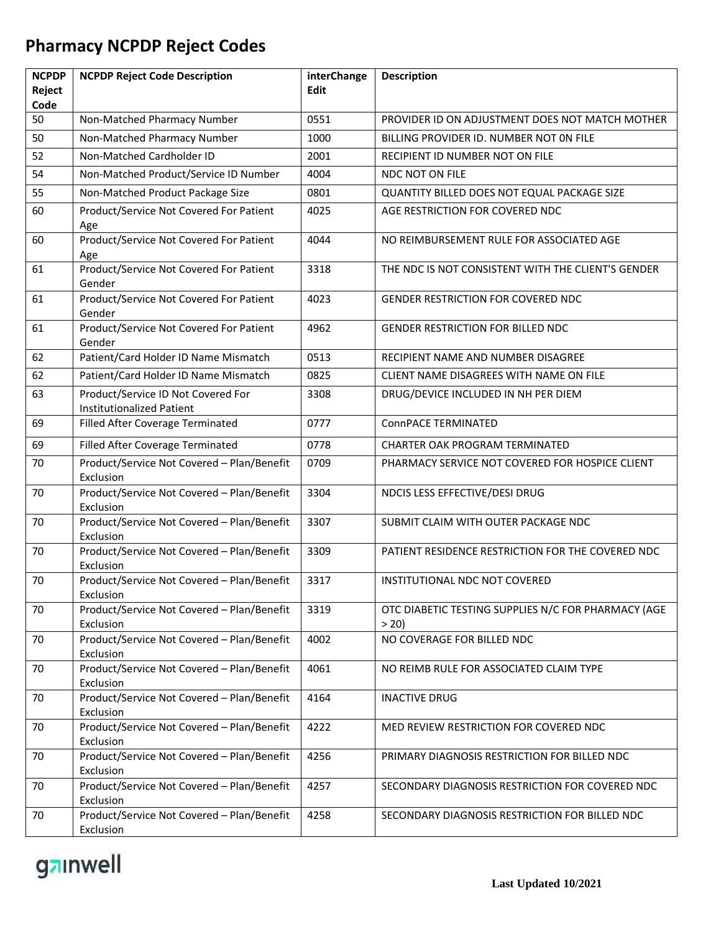| <b>NCPDP</b>   | <b>NCPDP Reject Code Description</b>                                   | interChange | <b>Description</b>                                          |
|----------------|------------------------------------------------------------------------|-------------|-------------------------------------------------------------|
| Reject<br>Code |                                                                        | Edit        |                                                             |
| 50             | Non-Matched Pharmacy Number                                            | 0551        | PROVIDER ID ON ADJUSTMENT DOES NOT MATCH MOTHER             |
| 50             | Non-Matched Pharmacy Number                                            | 1000        | BILLING PROVIDER ID. NUMBER NOT ON FILE                     |
| 52             | Non-Matched Cardholder ID                                              | 2001        | RECIPIENT ID NUMBER NOT ON FILE                             |
| 54             | Non-Matched Product/Service ID Number                                  | 4004        | <b>NDC NOT ON FILE</b>                                      |
| 55             | Non-Matched Product Package Size                                       | 0801        | QUANTITY BILLED DOES NOT EQUAL PACKAGE SIZE                 |
| 60             | Product/Service Not Covered For Patient<br>Age                         | 4025        | AGE RESTRICTION FOR COVERED NDC                             |
| 60             | Product/Service Not Covered For Patient<br>Age                         | 4044        | NO REIMBURSEMENT RULE FOR ASSOCIATED AGE                    |
| 61             | Product/Service Not Covered For Patient<br>Gender                      | 3318        | THE NDC IS NOT CONSISTENT WITH THE CLIENT'S GENDER          |
| 61             | Product/Service Not Covered For Patient<br>Gender                      | 4023        | <b>GENDER RESTRICTION FOR COVERED NDC</b>                   |
| 61             | Product/Service Not Covered For Patient<br>Gender                      | 4962        | GENDER RESTRICTION FOR BILLED NDC                           |
| 62             | Patient/Card Holder ID Name Mismatch                                   | 0513        | RECIPIENT NAME AND NUMBER DISAGREE                          |
| 62             | Patient/Card Holder ID Name Mismatch                                   | 0825        | CLIENT NAME DISAGREES WITH NAME ON FILE                     |
| 63             | Product/Service ID Not Covered For<br><b>Institutionalized Patient</b> | 3308        | DRUG/DEVICE INCLUDED IN NH PER DIEM                         |
| 69             | Filled After Coverage Terminated                                       | 0777        | ConnPACE TERMINATED                                         |
| 69             | Filled After Coverage Terminated                                       | 0778        | <b>CHARTER OAK PROGRAM TERMINATED</b>                       |
| 70             | Product/Service Not Covered - Plan/Benefit<br>Exclusion                | 0709        | PHARMACY SERVICE NOT COVERED FOR HOSPICE CLIENT             |
| 70             | Product/Service Not Covered - Plan/Benefit<br>Exclusion                | 3304        | NDCIS LESS EFFECTIVE/DESI DRUG                              |
| 70             | Product/Service Not Covered - Plan/Benefit<br>Exclusion                | 3307        | SUBMIT CLAIM WITH OUTER PACKAGE NDC                         |
| 70             | Product/Service Not Covered - Plan/Benefit<br>Exclusion                | 3309        | PATIENT RESIDENCE RESTRICTION FOR THE COVERED NDC           |
| 70             | Product/Service Not Covered - Plan/Benefit<br>Exclusion                | 3317        | INSTITUTIONAL NDC NOT COVERED                               |
| 70             | Product/Service Not Covered - Plan/Benefit<br>Exclusion                | 3319        | OTC DIABETIC TESTING SUPPLIES N/C FOR PHARMACY (AGE<br>> 20 |
| 70             | Product/Service Not Covered - Plan/Benefit<br>Exclusion                | 4002        | NO COVERAGE FOR BILLED NDC                                  |
| 70             | Product/Service Not Covered - Plan/Benefit<br>Exclusion                | 4061        | NO REIMB RULE FOR ASSOCIATED CLAIM TYPE                     |
| 70             | Product/Service Not Covered - Plan/Benefit<br>Exclusion                | 4164        | <b>INACTIVE DRUG</b>                                        |
| 70             | Product/Service Not Covered - Plan/Benefit<br>Exclusion                | 4222        | MED REVIEW RESTRICTION FOR COVERED NDC                      |
| 70             | Product/Service Not Covered - Plan/Benefit<br>Exclusion                | 4256        | PRIMARY DIAGNOSIS RESTRICTION FOR BILLED NDC                |
| 70             | Product/Service Not Covered - Plan/Benefit<br>Exclusion                | 4257        | SECONDARY DIAGNOSIS RESTRICTION FOR COVERED NDC             |
| 70             | Product/Service Not Covered - Plan/Benefit<br>Exclusion                | 4258        | SECONDARY DIAGNOSIS RESTRICTION FOR BILLED NDC              |

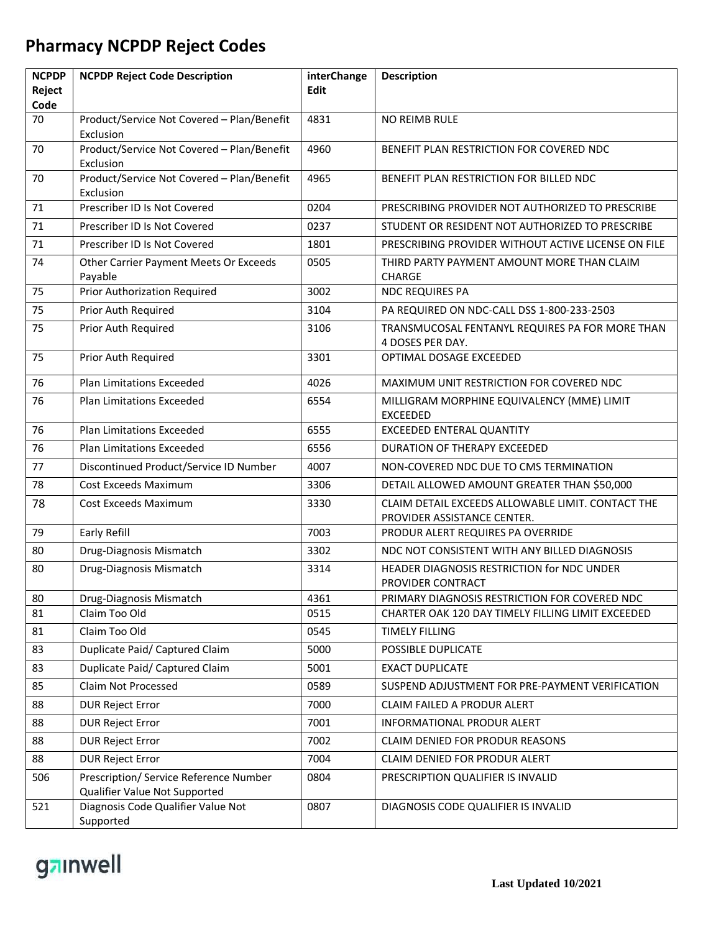| <b>NCPDP</b>   | <b>NCPDP Reject Code Description</b>                                    | interChange | <b>Description</b>                                                               |
|----------------|-------------------------------------------------------------------------|-------------|----------------------------------------------------------------------------------|
| Reject<br>Code |                                                                         | Edit        |                                                                                  |
| 70             | Product/Service Not Covered - Plan/Benefit<br>Exclusion                 | 4831        | <b>NO REIMB RULE</b>                                                             |
| 70             | Product/Service Not Covered - Plan/Benefit<br>Exclusion                 | 4960        | BENEFIT PLAN RESTRICTION FOR COVERED NDC                                         |
| 70             | Product/Service Not Covered - Plan/Benefit<br>Exclusion                 | 4965        | BENEFIT PLAN RESTRICTION FOR BILLED NDC                                          |
| 71             | Prescriber ID Is Not Covered                                            | 0204        | PRESCRIBING PROVIDER NOT AUTHORIZED TO PRESCRIBE                                 |
| 71             | Prescriber ID Is Not Covered                                            | 0237        | STUDENT OR RESIDENT NOT AUTHORIZED TO PRESCRIBE                                  |
| 71             | Prescriber ID Is Not Covered                                            | 1801        | PRESCRIBING PROVIDER WITHOUT ACTIVE LICENSE ON FILE                              |
| 74             | Other Carrier Payment Meets Or Exceeds<br>Payable                       | 0505        | THIRD PARTY PAYMENT AMOUNT MORE THAN CLAIM<br>CHARGE                             |
| 75             | Prior Authorization Required                                            | 3002        | <b>NDC REQUIRES PA</b>                                                           |
| 75             | Prior Auth Required                                                     | 3104        | PA REQUIRED ON NDC-CALL DSS 1-800-233-2503                                       |
| 75             | Prior Auth Required                                                     | 3106        | TRANSMUCOSAL FENTANYL REQUIRES PA FOR MORE THAN<br>4 DOSES PER DAY.              |
| 75             | Prior Auth Required                                                     | 3301        | OPTIMAL DOSAGE EXCEEDED                                                          |
| 76             | <b>Plan Limitations Exceeded</b>                                        | 4026        | MAXIMUM UNIT RESTRICTION FOR COVERED NDC                                         |
| 76             | Plan Limitations Exceeded                                               | 6554        | MILLIGRAM MORPHINE EQUIVALENCY (MME) LIMIT<br><b>EXCEEDED</b>                    |
| 76             | Plan Limitations Exceeded                                               | 6555        | <b>EXCEEDED ENTERAL QUANTITY</b>                                                 |
| 76             | <b>Plan Limitations Exceeded</b>                                        | 6556        | DURATION OF THERAPY EXCEEDED                                                     |
| 77             | Discontinued Product/Service ID Number                                  | 4007        | NON-COVERED NDC DUE TO CMS TERMINATION                                           |
| 78             | Cost Exceeds Maximum                                                    | 3306        | DETAIL ALLOWED AMOUNT GREATER THAN \$50,000                                      |
| 78             | Cost Exceeds Maximum                                                    | 3330        | CLAIM DETAIL EXCEEDS ALLOWABLE LIMIT. CONTACT THE<br>PROVIDER ASSISTANCE CENTER. |
| 79             | Early Refill                                                            | 7003        | PRODUR ALERT REQUIRES PA OVERRIDE                                                |
| 80             | Drug-Diagnosis Mismatch                                                 | 3302        | NDC NOT CONSISTENT WITH ANY BILLED DIAGNOSIS                                     |
| 80             | Drug-Diagnosis Mismatch                                                 | 3314        | HEADER DIAGNOSIS RESTRICTION for NDC UNDER<br>PROVIDER CONTRACT                  |
| 80             | Drug-Diagnosis Mismatch                                                 | 4361        | PRIMARY DIAGNOSIS RESTRICTION FOR COVERED NDC                                    |
| 81             | Claim Too Old                                                           | 0515        | CHARTER OAK 120 DAY TIMELY FILLING LIMIT EXCEEDED                                |
| 81             | Claim Too Old                                                           | 0545        | <b>TIMELY FILLING</b>                                                            |
| 83             | Duplicate Paid/ Captured Claim                                          | 5000        | POSSIBLE DUPLICATE                                                               |
| 83             | Duplicate Paid/ Captured Claim                                          | 5001        | <b>EXACT DUPLICATE</b>                                                           |
| 85             | Claim Not Processed                                                     | 0589        | SUSPEND ADJUSTMENT FOR PRE-PAYMENT VERIFICATION                                  |
| 88             | <b>DUR Reject Error</b>                                                 | 7000        | CLAIM FAILED A PRODUR ALERT                                                      |
| 88             | <b>DUR Reject Error</b>                                                 | 7001        | INFORMATIONAL PRODUR ALERT                                                       |
| 88             | <b>DUR Reject Error</b>                                                 | 7002        | CLAIM DENIED FOR PRODUR REASONS                                                  |
| 88             | <b>DUR Reject Error</b>                                                 | 7004        | CLAIM DENIED FOR PRODUR ALERT                                                    |
| 506            | Prescription/ Service Reference Number<br>Qualifier Value Not Supported | 0804        | PRESCRIPTION QUALIFIER IS INVALID                                                |
| 521            | Diagnosis Code Qualifier Value Not<br>Supported                         | 0807        | DIAGNOSIS CODE QUALIFIER IS INVALID                                              |

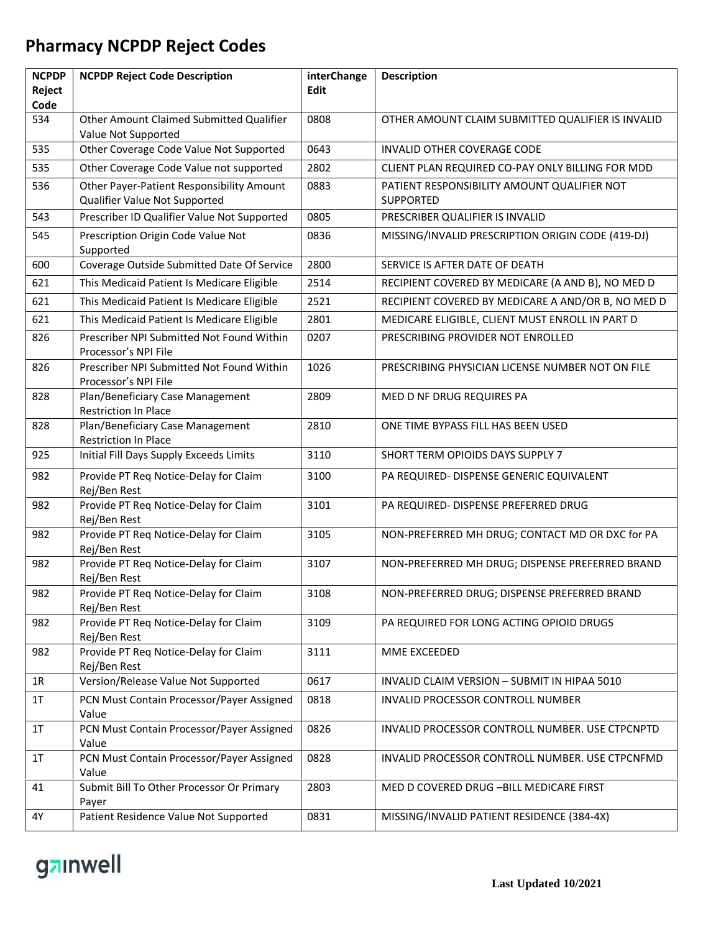| <b>NCPDP</b>   | <b>NCPDP Reject Code Description</b>                              | interChange | <b>Description</b>                                 |
|----------------|-------------------------------------------------------------------|-------------|----------------------------------------------------|
| Reject<br>Code |                                                                   | <b>Edit</b> |                                                    |
| 534            | Other Amount Claimed Submitted Qualifier<br>Value Not Supported   | 0808        | OTHER AMOUNT CLAIM SUBMITTED QUALIFIER IS INVALID  |
| 535            | Other Coverage Code Value Not Supported                           | 0643        | INVALID OTHER COVERAGE CODE                        |
| 535            | Other Coverage Code Value not supported                           | 2802        | CLIENT PLAN REQUIRED CO-PAY ONLY BILLING FOR MDD   |
| 536            | Other Payer-Patient Responsibility Amount                         | 0883        | PATIENT RESPONSIBILITY AMOUNT QUALIFIER NOT        |
|                | Qualifier Value Not Supported                                     |             | <b>SUPPORTED</b>                                   |
| 543            | Prescriber ID Qualifier Value Not Supported                       | 0805        | PRESCRIBER QUALIFIER IS INVALID                    |
| 545            | Prescription Origin Code Value Not<br>Supported                   | 0836        | MISSING/INVALID PRESCRIPTION ORIGIN CODE (419-DJ)  |
| 600            | Coverage Outside Submitted Date Of Service                        | 2800        | SERVICE IS AFTER DATE OF DEATH                     |
| 621            | This Medicaid Patient Is Medicare Eligible                        | 2514        | RECIPIENT COVERED BY MEDICARE (A AND B), NO MED D  |
| 621            | This Medicaid Patient Is Medicare Eligible                        | 2521        | RECIPIENT COVERED BY MEDICARE A AND/OR B, NO MED D |
| 621            | This Medicaid Patient Is Medicare Eligible                        | 2801        | MEDICARE ELIGIBLE, CLIENT MUST ENROLL IN PART D    |
| 826            | Prescriber NPI Submitted Not Found Within<br>Processor's NPI File | 0207        | PRESCRIBING PROVIDER NOT ENROLLED                  |
| 826            | Prescriber NPI Submitted Not Found Within<br>Processor's NPI File | 1026        | PRESCRIBING PHYSICIAN LICENSE NUMBER NOT ON FILE   |
| 828            | Plan/Beneficiary Case Management<br>Restriction In Place          | 2809        | MED D NF DRUG REQUIRES PA                          |
| 828            | Plan/Beneficiary Case Management<br>Restriction In Place          | 2810        | ONE TIME BYPASS FILL HAS BEEN USED                 |
| 925            | Initial Fill Days Supply Exceeds Limits                           | 3110        | SHORT TERM OPIOIDS DAYS SUPPLY 7                   |
| 982            | Provide PT Req Notice-Delay for Claim<br>Rej/Ben Rest             | 3100        | PA REQUIRED- DISPENSE GENERIC EQUIVALENT           |
| 982            | Provide PT Req Notice-Delay for Claim<br>Rej/Ben Rest             | 3101        | PA REQUIRED- DISPENSE PREFERRED DRUG               |
| 982            | Provide PT Req Notice-Delay for Claim<br>Rej/Ben Rest             | 3105        | NON-PREFERRED MH DRUG; CONTACT MD OR DXC for PA    |
| 982            | Provide PT Req Notice-Delay for Claim<br>Rej/Ben Rest             | 3107        | NON-PREFERRED MH DRUG; DISPENSE PREFERRED BRAND    |
| 982            | Provide PT Req Notice-Delay for Claim<br>Rej/Ben Rest             | 3108        | NON-PREFERRED DRUG; DISPENSE PREFERRED BRAND       |
| 982            | Provide PT Reg Notice-Delay for Claim<br>Rej/Ben Rest             | 3109        | PA REQUIRED FOR LONG ACTING OPIOID DRUGS           |
| 982            | Provide PT Req Notice-Delay for Claim<br>Rej/Ben Rest             | 3111        | MME EXCEEDED                                       |
| 1R             | Version/Release Value Not Supported                               | 0617        | INVALID CLAIM VERSION - SUBMIT IN HIPAA 5010       |
| 1T             | PCN Must Contain Processor/Payer Assigned<br>Value                | 0818        | INVALID PROCESSOR CONTROLL NUMBER                  |
| 1T             | PCN Must Contain Processor/Payer Assigned<br>Value                | 0826        | INVALID PROCESSOR CONTROLL NUMBER. USE CTPCNPTD    |
| 1T             | PCN Must Contain Processor/Payer Assigned<br>Value                | 0828        | INVALID PROCESSOR CONTROLL NUMBER. USE CTPCNFMD    |
| 41             | Submit Bill To Other Processor Or Primary<br>Payer                | 2803        | MED D COVERED DRUG - BILL MEDICARE FIRST           |
| 4Y             | Patient Residence Value Not Supported                             | 0831        | MISSING/INVALID PATIENT RESIDENCE (384-4X)         |

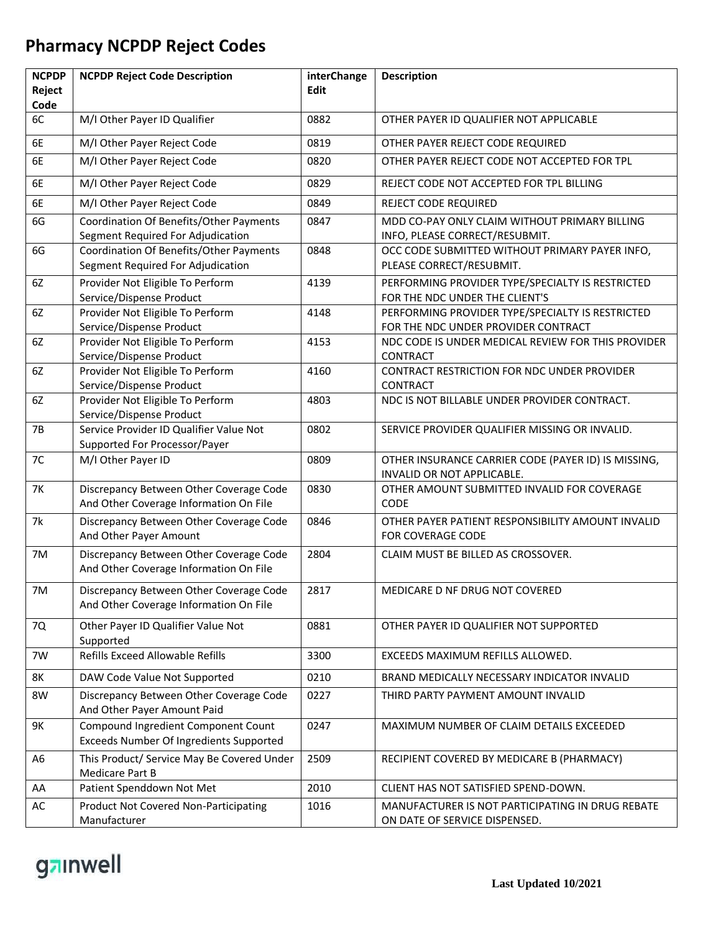| <b>NCPDP</b>   | <b>NCPDP Reject Code Description</b>                                              | interChange | <b>Description</b>                                                                |
|----------------|-----------------------------------------------------------------------------------|-------------|-----------------------------------------------------------------------------------|
| Reject<br>Code |                                                                                   | <b>Edit</b> |                                                                                   |
| 6C             | M/I Other Payer ID Qualifier                                                      | 0882        | OTHER PAYER ID QUALIFIER NOT APPLICABLE                                           |
| 6E             | M/I Other Payer Reject Code                                                       | 0819        | OTHER PAYER REJECT CODE REQUIRED                                                  |
| 6E             | M/I Other Payer Reject Code                                                       | 0820        | OTHER PAYER REJECT CODE NOT ACCEPTED FOR TPL                                      |
| 6E             | M/I Other Payer Reject Code                                                       | 0829        | REJECT CODE NOT ACCEPTED FOR TPL BILLING                                          |
| 6E             | M/I Other Payer Reject Code                                                       | 0849        | <b>REJECT CODE REQUIRED</b>                                                       |
| 6G             | Coordination Of Benefits/Other Payments<br>Segment Required For Adjudication      | 0847        | MDD CO-PAY ONLY CLAIM WITHOUT PRIMARY BILLING<br>INFO, PLEASE CORRECT/RESUBMIT.   |
| 6G             | Coordination Of Benefits/Other Payments                                           | 0848        | OCC CODE SUBMITTED WITHOUT PRIMARY PAYER INFO,                                    |
|                | Segment Required For Adjudication                                                 |             | PLEASE CORRECT/RESUBMIT.                                                          |
| 6Z             | Provider Not Eligible To Perform                                                  | 4139        | PERFORMING PROVIDER TYPE/SPECIALTY IS RESTRICTED                                  |
|                | Service/Dispense Product                                                          |             | FOR THE NDC UNDER THE CLIENT'S                                                    |
| 6Z             | Provider Not Eligible To Perform                                                  | 4148        | PERFORMING PROVIDER TYPE/SPECIALTY IS RESTRICTED                                  |
|                | Service/Dispense Product                                                          |             | FOR THE NDC UNDER PROVIDER CONTRACT                                               |
| 6Z             | Provider Not Eligible To Perform<br>Service/Dispense Product                      | 4153        | NDC CODE IS UNDER MEDICAL REVIEW FOR THIS PROVIDER<br><b>CONTRACT</b>             |
| 6Z             | Provider Not Eligible To Perform                                                  | 4160        | CONTRACT RESTRICTION FOR NDC UNDER PROVIDER                                       |
|                | Service/Dispense Product                                                          |             | <b>CONTRACT</b>                                                                   |
| 6Z             | Provider Not Eligible To Perform                                                  | 4803        | NDC IS NOT BILLABLE UNDER PROVIDER CONTRACT.                                      |
|                | Service/Dispense Product                                                          |             |                                                                                   |
| <b>7B</b>      | Service Provider ID Qualifier Value Not                                           | 0802        | SERVICE PROVIDER QUALIFIER MISSING OR INVALID.                                    |
|                | Supported For Processor/Payer                                                     |             |                                                                                   |
| 7C             | M/I Other Payer ID                                                                | 0809        | OTHER INSURANCE CARRIER CODE (PAYER ID) IS MISSING,<br>INVALID OR NOT APPLICABLE. |
| <b>7K</b>      | Discrepancy Between Other Coverage Code<br>And Other Coverage Information On File | 0830        | OTHER AMOUNT SUBMITTED INVALID FOR COVERAGE<br>CODE                               |
| 7k             | Discrepancy Between Other Coverage Code<br>And Other Payer Amount                 | 0846        | OTHER PAYER PATIENT RESPONSIBILITY AMOUNT INVALID<br><b>FOR COVERAGE CODE</b>     |
| 7M             | Discrepancy Between Other Coverage Code                                           | 2804        | CLAIM MUST BE BILLED AS CROSSOVER.                                                |
|                | And Other Coverage Information On File                                            |             |                                                                                   |
| 7M             | Discrepancy Between Other Coverage Code<br>And Other Coverage Information On File | 2817        | MEDICARE D NF DRUG NOT COVERED                                                    |
|                |                                                                                   |             |                                                                                   |
| 7Q             | Other Payer ID Qualifier Value Not<br>Supported                                   | 0881        | OTHER PAYER ID QUALIFIER NOT SUPPORTED                                            |
| 7W             | Refills Exceed Allowable Refills                                                  | 3300        | EXCEEDS MAXIMUM REFILLS ALLOWED.                                                  |
| 8K             | DAW Code Value Not Supported                                                      | 0210        | BRAND MEDICALLY NECESSARY INDICATOR INVALID                                       |
| 8W             | Discrepancy Between Other Coverage Code<br>And Other Payer Amount Paid            | 0227        | THIRD PARTY PAYMENT AMOUNT INVALID                                                |
| 9K             | Compound Ingredient Component Count                                               | 0247        | MAXIMUM NUMBER OF CLAIM DETAILS EXCEEDED                                          |
|                | Exceeds Number Of Ingredients Supported                                           |             |                                                                                   |
| A <sub>6</sub> | This Product/ Service May Be Covered Under<br>Medicare Part B                     | 2509        | RECIPIENT COVERED BY MEDICARE B (PHARMACY)                                        |
| AA             | Patient Spenddown Not Met                                                         | 2010        | CLIENT HAS NOT SATISFIED SPEND-DOWN.                                              |
| AC             | <b>Product Not Covered Non-Participating</b>                                      | 1016        | MANUFACTURER IS NOT PARTICIPATING IN DRUG REBATE                                  |
|                | Manufacturer                                                                      |             | ON DATE OF SERVICE DISPENSED.                                                     |

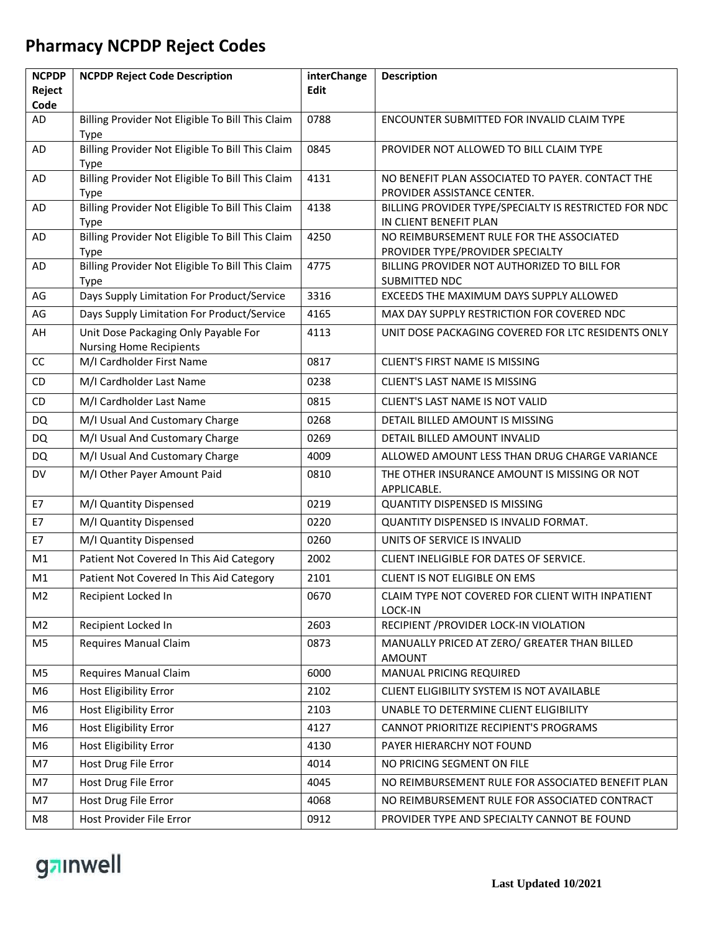| <b>NCPDP</b>   | <b>NCPDP Reject Code Description</b>                                   | interChange | <b>Description</b>                                                              |
|----------------|------------------------------------------------------------------------|-------------|---------------------------------------------------------------------------------|
| Reject<br>Code |                                                                        | <b>Edit</b> |                                                                                 |
| AD             | Billing Provider Not Eligible To Bill This Claim                       | 0788        | ENCOUNTER SUBMITTED FOR INVALID CLAIM TYPE                                      |
| AD             | <b>Type</b><br>Billing Provider Not Eligible To Bill This Claim        | 0845        | PROVIDER NOT ALLOWED TO BILL CLAIM TYPE                                         |
|                | <b>Type</b>                                                            |             |                                                                                 |
| AD             | Billing Provider Not Eligible To Bill This Claim<br><b>Type</b>        | 4131        | NO BENEFIT PLAN ASSOCIATED TO PAYER. CONTACT THE<br>PROVIDER ASSISTANCE CENTER. |
| AD             | Billing Provider Not Eligible To Bill This Claim<br><b>Type</b>        | 4138        | BILLING PROVIDER TYPE/SPECIALTY IS RESTRICTED FOR NDC<br>IN CLIENT BENEFIT PLAN |
| <b>AD</b>      | Billing Provider Not Eligible To Bill This Claim<br><b>Type</b>        | 4250        | NO REIMBURSEMENT RULE FOR THE ASSOCIATED<br>PROVIDER TYPE/PROVIDER SPECIALTY    |
| AD             | Billing Provider Not Eligible To Bill This Claim<br><b>Type</b>        | 4775        | BILLING PROVIDER NOT AUTHORIZED TO BILL FOR<br>SUBMITTED NDC                    |
| AG             | Days Supply Limitation For Product/Service                             | 3316        | EXCEEDS THE MAXIMUM DAYS SUPPLY ALLOWED                                         |
| AG             | Days Supply Limitation For Product/Service                             | 4165        | MAX DAY SUPPLY RESTRICTION FOR COVERED NDC                                      |
| AH             | Unit Dose Packaging Only Payable For<br><b>Nursing Home Recipients</b> | 4113        | UNIT DOSE PACKAGING COVERED FOR LTC RESIDENTS ONLY                              |
| CC             | M/I Cardholder First Name                                              | 0817        | <b>CLIENT'S FIRST NAME IS MISSING</b>                                           |
| CD             | M/I Cardholder Last Name                                               | 0238        | <b>CLIENT'S LAST NAME IS MISSING</b>                                            |
| CD             | M/I Cardholder Last Name                                               | 0815        | CLIENT'S LAST NAME IS NOT VALID                                                 |
| <b>DQ</b>      | M/I Usual And Customary Charge                                         | 0268        | DETAIL BILLED AMOUNT IS MISSING                                                 |
| <b>DQ</b>      | M/I Usual And Customary Charge                                         | 0269        | DETAIL BILLED AMOUNT INVALID                                                    |
| <b>DQ</b>      | M/I Usual And Customary Charge                                         | 4009        | ALLOWED AMOUNT LESS THAN DRUG CHARGE VARIANCE                                   |
| DV             | M/I Other Payer Amount Paid                                            | 0810        | THE OTHER INSURANCE AMOUNT IS MISSING OR NOT<br>APPLICABLE.                     |
| E7             | M/I Quantity Dispensed                                                 | 0219        | <b>QUANTITY DISPENSED IS MISSING</b>                                            |
| E7             | M/I Quantity Dispensed                                                 | 0220        | QUANTITY DISPENSED IS INVALID FORMAT.                                           |
| E7             | M/I Quantity Dispensed                                                 | 0260        | UNITS OF SERVICE IS INVALID                                                     |
| M1             | Patient Not Covered In This Aid Category                               | 2002        | CLIENT INELIGIBLE FOR DATES OF SERVICE.                                         |
| M1             | Patient Not Covered In This Aid Category                               | 2101        | CLIENT IS NOT ELIGIBLE ON EMS                                                   |
| M <sub>2</sub> | Recipient Locked In                                                    | 0670        | CLAIM TYPE NOT COVERED FOR CLIENT WITH INPATIENT<br><b>LOCK-IN</b>              |
| M <sub>2</sub> | Recipient Locked In                                                    | 2603        | RECIPIENT / PROVIDER LOCK-IN VIOLATION                                          |
| M <sub>5</sub> | Requires Manual Claim                                                  | 0873        | MANUALLY PRICED AT ZERO/ GREATER THAN BILLED<br><b>AMOUNT</b>                   |
| M <sub>5</sub> | Requires Manual Claim                                                  | 6000        | MANUAL PRICING REQUIRED                                                         |
| M6             | Host Eligibility Error                                                 | 2102        | CLIENT ELIGIBILITY SYSTEM IS NOT AVAILABLE                                      |
| M <sub>6</sub> | Host Eligibility Error                                                 | 2103        | UNABLE TO DETERMINE CLIENT ELIGIBILITY                                          |
| M6             | Host Eligibility Error                                                 | 4127        | CANNOT PRIORITIZE RECIPIENT'S PROGRAMS                                          |
| M6             | Host Eligibility Error                                                 | 4130        | PAYER HIERARCHY NOT FOUND                                                       |
| M7             | Host Drug File Error                                                   | 4014        | NO PRICING SEGMENT ON FILE                                                      |
| M7             | Host Drug File Error                                                   | 4045        | NO REIMBURSEMENT RULE FOR ASSOCIATED BENEFIT PLAN                               |
| M7             | Host Drug File Error                                                   | 4068        | NO REIMBURSEMENT RULE FOR ASSOCIATED CONTRACT                                   |
| M8             | Host Provider File Error                                               | 0912        | PROVIDER TYPE AND SPECIALTY CANNOT BE FOUND                                     |